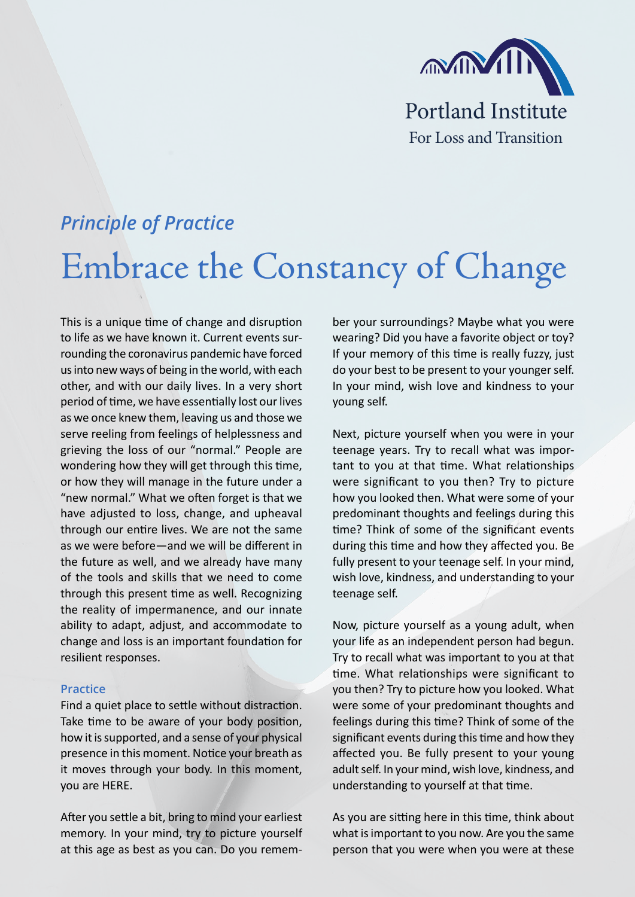

## *Principle of Practice* Embrace the Constancy of Change

This is a unique time of change and disruption to life as we have known it. Current events surrounding the coronavirus pandemic have forced us into new ways of being in the world, with each other, and with our daily lives. In a very short period of time, we have essentially lost our lives as we once knew them, leaving us and those we serve reeling from feelings of helplessness and grieving the loss of our "normal." People are wondering how they will get through this time, or how they will manage in the future under a "new normal." What we often forget is that we have adjusted to loss, change, and upheaval through our entire lives. We are not the same as we were before—and we will be different in the future as well, and we already have many of the tools and skills that we need to come through this present time as well. Recognizing the reality of impermanence, and our innate ability to adapt, adjust, and accommodate to change and loss is an important foundation for resilient responses.

## **Practice**

Find a quiet place to settle without distraction. Take time to be aware of your body position, how it is supported, and a sense of your physical presence in this moment. Notice your breath as it moves through your body. In this moment, you are HERE.

After you settle a bit, bring to mind your earliest memory. In your mind, try to picture yourself at this age as best as you can. Do you remember your surroundings? Maybe what you were wearing? Did you have a favorite object or toy? If your memory of this time is really fuzzy, just do your best to be present to your younger self. In your mind, wish love and kindness to your young self.

Next, picture yourself when you were in your teenage years. Try to recall what was important to you at that time. What relationships were significant to you then? Try to picture how you looked then. What were some of your predominant thoughts and feelings during this time? Think of some of the significant events during this time and how they affected you. Be fully present to your teenage self. In your mind, wish love, kindness, and understanding to your teenage self.

Now, picture yourself as a young adult, when your life as an independent person had begun. Try to recall what was important to you at that time. What relationships were significant to you then? Try to picture how you looked. What were some of your predominant thoughts and feelings during this time? Think of some of the significant events during this time and how they affected you. Be fully present to your young adult self. In your mind, wish love, kindness, and understanding to yourself at that time.

As you are sitting here in this time, think about what is important to you now. Are you the same person that you were when you were at these